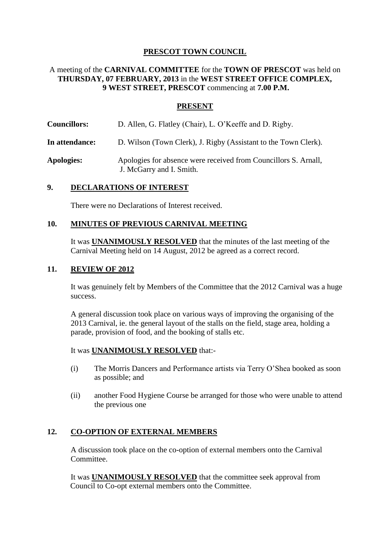# **PRESCOT TOWN COUNCIL**

# A meeting of the **CARNIVAL COMMITTEE** for the **TOWN OF PRESCOT** was held on **THURSDAY, 07 FEBRUARY, 2013** in the **WEST STREET OFFICE COMPLEX, 9 WEST STREET, PRESCOT** commencing at **7.00 P.M.**

### **PRESENT**

- **Councillors:** D. Allen, G. Flatley (Chair), L. O'Keeffe and D. Rigby.
- **In attendance:** D. Wilson (Town Clerk), J. Rigby (Assistant to the Town Clerk).
- **Apologies:** Apologies for absence were received from Councillors S. Arnall, J. McGarry and I. Smith.

### **9. DECLARATIONS OF INTEREST**

There were no Declarations of Interest received.

### **10. MINUTES OF PREVIOUS CARNIVAL MEETING**

It was **UNANIMOUSLY RESOLVED** that the minutes of the last meeting of the Carnival Meeting held on 14 August, 2012 be agreed as a correct record.

### **11. REVIEW OF 2012**

It was genuinely felt by Members of the Committee that the 2012 Carnival was a huge success.

A general discussion took place on various ways of improving the organising of the 2013 Carnival, ie. the general layout of the stalls on the field, stage area, holding a parade, provision of food, and the booking of stalls etc.

#### It was **UNANIMOUSLY RESOLVED** that:-

- (i) The Morris Dancers and Performance artists via Terry O'Shea booked as soon as possible; and
- (ii) another Food Hygiene Course be arranged for those who were unable to attend the previous one

### **12. CO-OPTION OF EXTERNAL MEMBERS**

A discussion took place on the co-option of external members onto the Carnival Committee.

It was **UNANIMOUSLY RESOLVED** that the committee seek approval from Council to Co-opt external members onto the Committee.